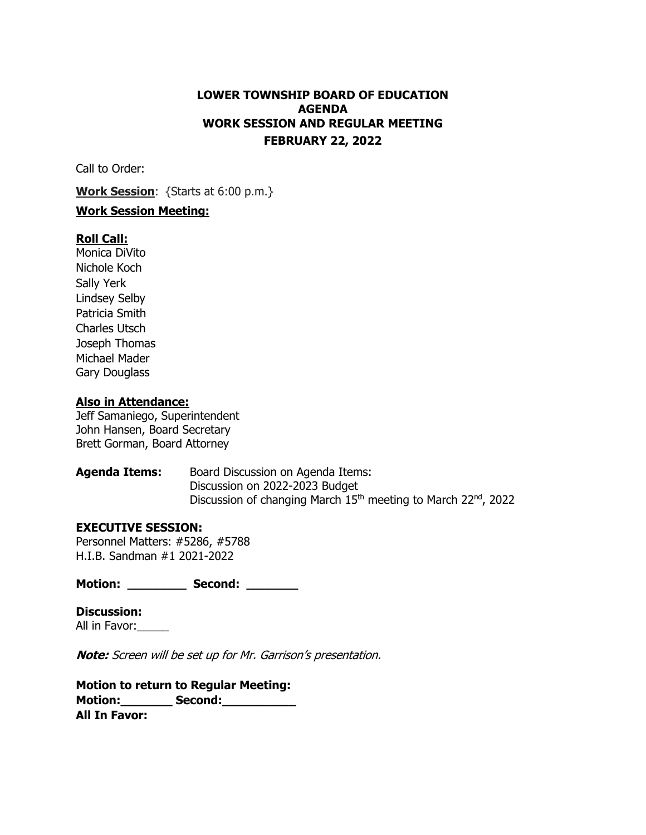# **LOWER TOWNSHIP BOARD OF EDUCATION AGENDA WORK SESSION AND REGULAR MEETING FEBRUARY 22, 2022**

Call to Order:

**Work Session**: {Starts at 6:00 p.m.}

### **Work Session Meeting:**

### **Roll Call:**

Monica DiVito Nichole Koch Sally Yerk Lindsey Selby Patricia Smith Charles Utsch Joseph Thomas Michael Mader Gary Douglass

#### **Also in Attendance:**

Jeff Samaniego, Superintendent John Hansen, Board Secretary Brett Gorman, Board Attorney

**Agenda Items:** Board Discussion on Agenda Items: Discussion on 2022-2023 Budget Discussion of changing March  $15<sup>th</sup>$  meeting to March  $22<sup>nd</sup>$ , 2022

### **EXECUTIVE SESSION:**

Personnel Matters: #5286, #5788 H.I.B. Sandman #1 2021-2022

**Motion: \_\_\_\_\_\_\_\_ Second: \_\_\_\_\_\_\_** 

**Discussion:** All in Favor:

**Note:** Screen will be set up for Mr. Garrison's presentation.

**Motion to return to Regular Meeting: Motion:** Second: **All In Favor:**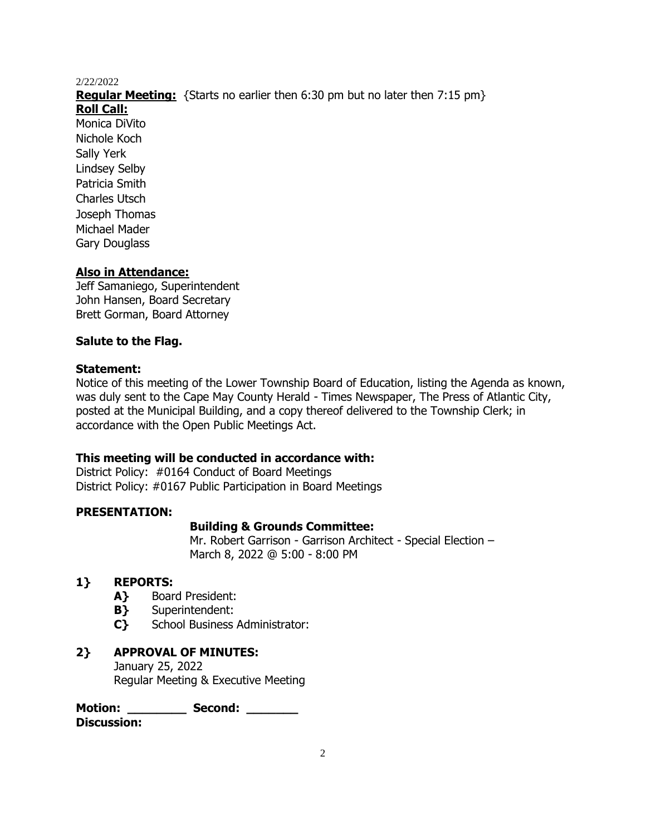**Regular Meeting:** {Starts no earlier then 6:30 pm but no later then 7:15 pm}

**Roll Call:**

Monica DiVito Nichole Koch Sally Yerk Lindsey Selby Patricia Smith Charles Utsch Joseph Thomas Michael Mader Gary Douglass

## **Also in Attendance:**

Jeff Samaniego, Superintendent John Hansen, Board Secretary Brett Gorman, Board Attorney

### **Salute to the Flag.**

### **Statement:**

Notice of this meeting of the Lower Township Board of Education, listing the Agenda as known, was duly sent to the Cape May County Herald - Times Newspaper, The Press of Atlantic City, posted at the Municipal Building, and a copy thereof delivered to the Township Clerk; in accordance with the Open Public Meetings Act.

### **This meeting will be conducted in accordance with:**

District Policy: #0164 Conduct of Board Meetings District Policy: #0167 Public Participation in Board Meetings

### **PRESENTATION:**

### **Building & Grounds Committee:**

Mr. Robert Garrison - Garrison Architect - Special Election – March 8, 2022 @ 5:00 - 8:00 PM

### **1} REPORTS:**

- **A}** Board President:
- **B}** Superintendent:
- **C}** School Business Administrator:

### **2} APPROVAL OF MINUTES:** January 25, 2022 Regular Meeting & Executive Meeting

**Motion: \_\_\_\_\_\_\_\_ Second: \_\_\_\_\_\_\_ Discussion:**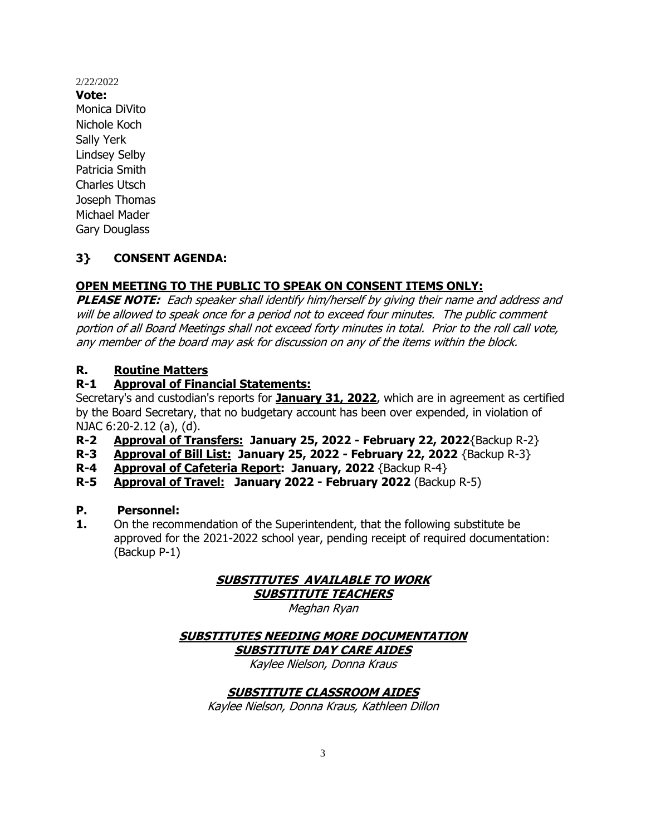**Vote:** Monica DiVito Nichole Koch Sally Yerk Lindsey Selby Patricia Smith Charles Utsch Joseph Thomas Michael Mader Gary Douglass

## **3} CONSENT AGENDA:**

# **OPEN MEETING TO THE PUBLIC TO SPEAK ON CONSENT ITEMS ONLY:**

**PLEASE NOTE:** Each speaker shall identify him/herself by giving their name and address and will be allowed to speak once for a period not to exceed four minutes. The public comment portion of all Board Meetings shall not exceed forty minutes in total. Prior to the roll call vote, any member of the board may ask for discussion on any of the items within the block.

## **R. Routine Matters**

## **R-1 Approval of Financial Statements:**

Secretary's and custodian's reports for **January 31, 2022**, which are in agreement as certified by the Board Secretary, that no budgetary account has been over expended, in violation of NJAC 6:20-2.12 (a), (d).

- **R-2 Approval of Transfers: January 25, 2022 - February 22, 2022**{Backup R-2}
- **R-3 Approval of Bill List: January 25, 2022 - February 22, 2022** {Backup R-3}
- **R-4 Approval of Cafeteria Report: January, 2022** {Backup R-4}
- **R-5 Approval of Travel: January 2022 - February 2022** (Backup R-5)

### **P. Personnel:**

**1.** On the recommendation of the Superintendent, that the following substitute be approved for the 2021-2022 school year, pending receipt of required documentation: (Backup P-1)

# **SUBSTITUTES AVAILABLE TO WORK**

**SUBSTITUTE TEACHERS**

Meghan Ryan

# **SUBSTITUTES NEEDING MORE DOCUMENTATION SUBSTITUTE DAY CARE AIDES**

Kaylee Nielson, Donna Kraus

## **SUBSTITUTE CLASSROOM AIDES**

Kaylee Nielson, Donna Kraus, Kathleen Dillon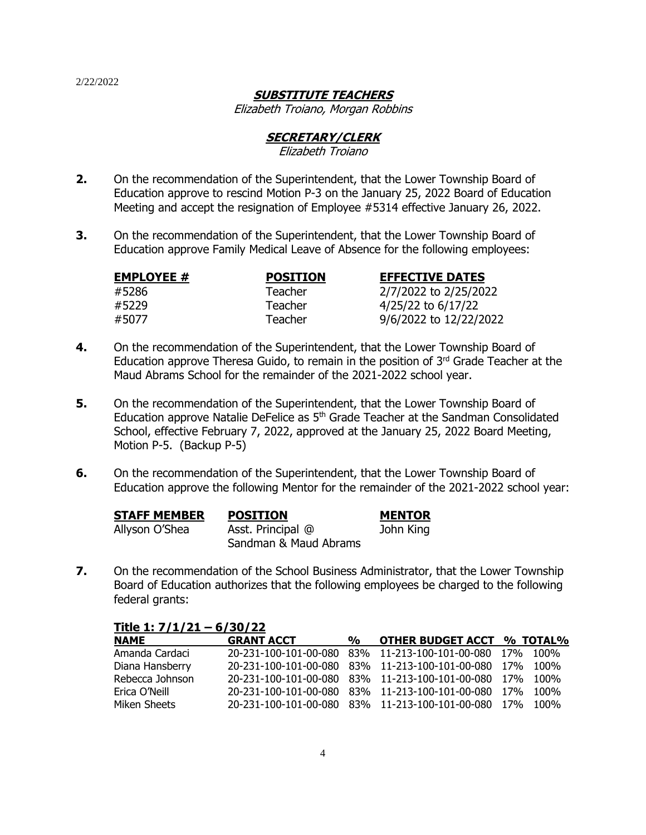## **SUBSTITUTE TEACHERS**

Elizabeth Troiano, Morgan Robbins

### **SECRETARY/CLERK**

#### Elizabeth Troiano

- **2.** On the recommendation of the Superintendent, that the Lower Township Board of Education approve to rescind Motion P-3 on the January 25, 2022 Board of Education Meeting and accept the resignation of Employee #5314 effective January 26, 2022.
- **3.** On the recommendation of the Superintendent, that the Lower Township Board of Education approve Family Medical Leave of Absence for the following employees:

| <b>EMPLOYEE #</b> | <b>POSITION</b> | <b>EFFECTIVE DATES</b> |
|-------------------|-----------------|------------------------|
| #5286             | <b>Teacher</b>  | 2/7/2022 to 2/25/2022  |
| #5229             | Teacher         | 4/25/22 to 6/17/22     |
| #5077             | Teacher         | 9/6/2022 to 12/22/2022 |

- **4.** On the recommendation of the Superintendent, that the Lower Township Board of Education approve Theresa Guido, to remain in the position of  $3<sup>rd</sup>$  Grade Teacher at the Maud Abrams School for the remainder of the 2021-2022 school year.
- **5.** On the recommendation of the Superintendent, that the Lower Township Board of Education approve Natalie DeFelice as 5<sup>th</sup> Grade Teacher at the Sandman Consolidated School, effective February 7, 2022, approved at the January 25, 2022 Board Meeting, Motion P-5. (Backup P-5)
- **6.** On the recommendation of the Superintendent, that the Lower Township Board of Education approve the following Mentor for the remainder of the 2021-2022 school year:

| <b>STAFF MEMBER</b> | <b>POSITION</b>       | <b>MENTOR</b> |
|---------------------|-----------------------|---------------|
| Allyson O'Shea      | Asst. Principal @     | John King     |
|                     | Sandman & Maud Abrams |               |

**7.** On the recommendation of the School Business Administrator, that the Lower Township Board of Education authorizes that the following employees be charged to the following federal grants:

| Title 1: $7/1/21 - 6/30/22$ |                   |               |                                                          |      |
|-----------------------------|-------------------|---------------|----------------------------------------------------------|------|
| <b>NAME</b>                 | <b>GRANT ACCT</b> | $\frac{O}{O}$ | <b>OTHER BUDGET ACCT % TOTAL%</b>                        |      |
| Amanda Cardaci              |                   |               | 20-231-100-101-00-080 83% 11-213-100-101-00-080 17%      | 100% |
| Diana Hansberry             |                   |               | 20-231-100-101-00-080 83% 11-213-100-101-00-080 17%      | 100% |
| Rebecca Johnson             |                   |               | 20-231-100-101-00-080 83% 11-213-100-101-00-080 17% 100% |      |
| Erica O'Neill               |                   |               | 20-231-100-101-00-080 83% 11-213-100-101-00-080 17% 100% |      |
| Miken Sheets                |                   |               | 20-231-100-101-00-080 83% 11-213-100-101-00-080 17% 100% |      |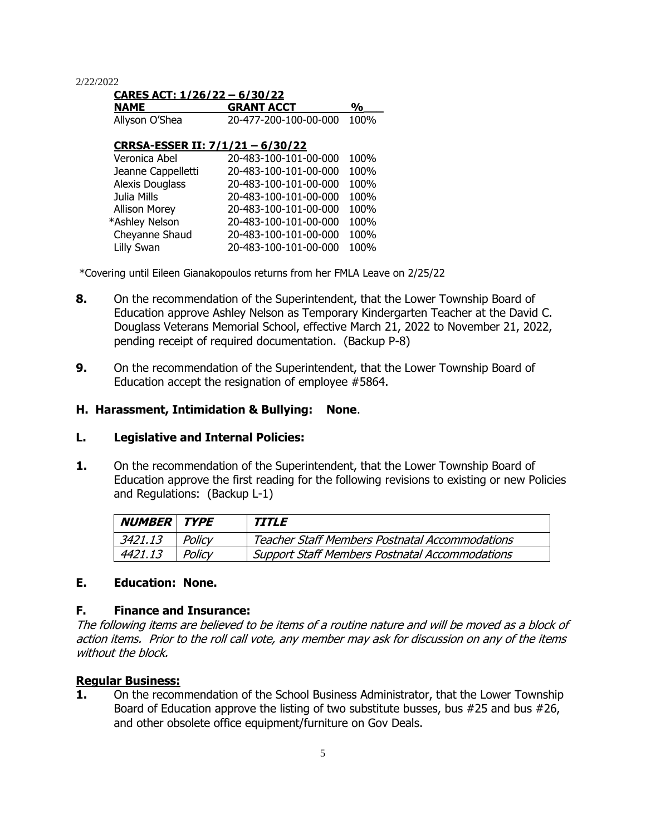| CARES ACT: 1/26/22 - 6/30/22     |                       |      |  |
|----------------------------------|-----------------------|------|--|
| <b>NAME</b>                      | <b>GRANT ACCT</b>     | %    |  |
| Allyson O'Shea                   | 20-477-200-100-00-000 | 100% |  |
| CRRSA-ESSER II: 7/1/21 - 6/30/22 |                       |      |  |
| Veronica Abel                    | 20-483-100-101-00-000 | 100% |  |
| Jeanne Cappelletti               | 20-483-100-101-00-000 | 100% |  |
| <b>Alexis Douglass</b>           | 20-483-100-101-00-000 | 100% |  |
| Julia Mills                      | 20-483-100-101-00-000 | 100% |  |
| <b>Allison Morey</b>             | 20-483-100-101-00-000 | 100% |  |
| *Ashley Nelson                   | 20-483-100-101-00-000 | 100% |  |
| Cheyanne Shaud                   | 20-483-100-101-00-000 | 100% |  |

Lilly Swan 20-483-100-101-00-000 100%

\*Covering until Eileen Gianakopoulos returns from her FMLA Leave on 2/25/22

- **8.** On the recommendation of the Superintendent, that the Lower Township Board of Education approve Ashley Nelson as Temporary Kindergarten Teacher at the David C. Douglass Veterans Memorial School, effective March 21, 2022 to November 21, 2022, pending receipt of required documentation. (Backup P-8)
- **9.** On the recommendation of the Superintendent, that the Lower Township Board of Education accept the resignation of employee #5864.

### **H. Harassment, Intimidation & Bullying: None**.

#### **L. Legislative and Internal Policies:**

**1.** On the recommendation of the Superintendent, that the Lower Township Board of Education approve the first reading for the following revisions to existing or new Policies and Regulations: (Backup L-1)

| <b>NUMBER TYPE</b> |        | <i><b>TITLE</b></i>                                   |
|--------------------|--------|-------------------------------------------------------|
| 3421.13            | Policy | <b>Teacher Staff Members Postnatal Accommodations</b> |
| 4421.13            | Policv | <b>Support Staff Members Postnatal Accommodations</b> |

#### **E. Education: None.**

#### **F. Finance and Insurance:**

The following items are believed to be items of a routine nature and will be moved as a block of action items. Prior to the roll call vote, any member may ask for discussion on any of the items without the block.

#### **Regular Business:**

**1.** On the recommendation of the School Business Administrator, that the Lower Township Board of Education approve the listing of two substitute busses, bus #25 and bus #26, and other obsolete office equipment/furniture on Gov Deals.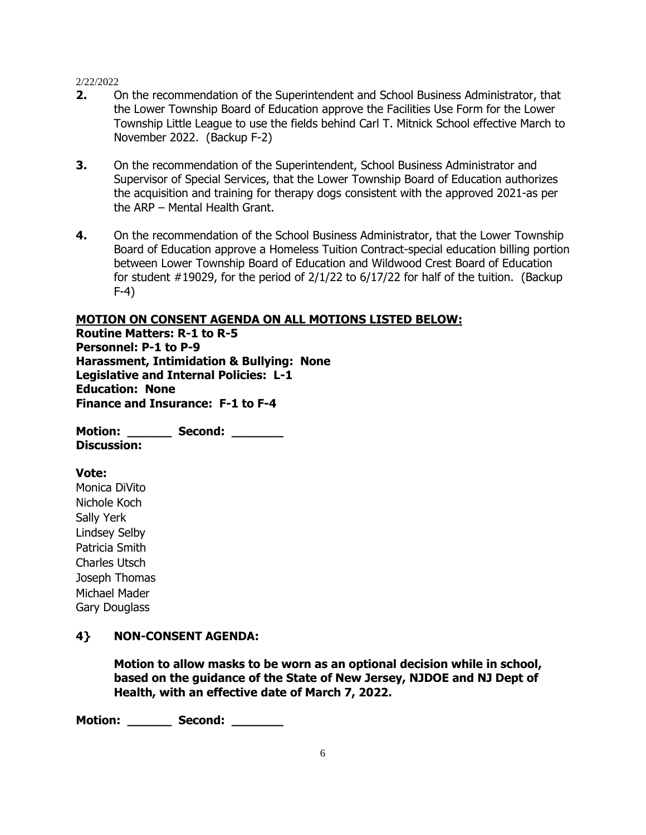- **2.** On the recommendation of the Superintendent and School Business Administrator, that the Lower Township Board of Education approve the Facilities Use Form for the Lower Township Little League to use the fields behind Carl T. Mitnick School effective March to November 2022. (Backup F-2)
- **3.** On the recommendation of the Superintendent, School Business Administrator and Supervisor of Special Services, that the Lower Township Board of Education authorizes the acquisition and training for therapy dogs consistent with the approved 2021-as per the ARP – Mental Health Grant.
- **4.** On the recommendation of the School Business Administrator, that the Lower Township Board of Education approve a Homeless Tuition Contract-special education billing portion between Lower Township Board of Education and Wildwood Crest Board of Education for student  $\#19029$ , for the period of 2/1/22 to 6/17/22 for half of the tuition. (Backup F-4)

#### **MOTION ON CONSENT AGENDA ON ALL MOTIONS LISTED BELOW:**

**Routine Matters: R-1 to R-5 Personnel: P-1 to P-9 Harassment, Intimidation & Bullying: None Legislative and Internal Policies: L-1 Education: None Finance and Insurance: F-1 to F-4**

**Motion: \_\_\_\_\_\_ Second: \_\_\_\_\_\_\_ Discussion:**

#### **Vote:**

Monica DiVito Nichole Koch Sally Yerk Lindsey Selby Patricia Smith Charles Utsch Joseph Thomas Michael Mader Gary Douglass

### **4} NON-CONSENT AGENDA:**

**Motion to allow masks to be worn as an optional decision while in school, based on the guidance of the State of New Jersey, NJDOE and NJ Dept of Health, with an effective date of March 7, 2022.**

**Motion: Second:**  $\blacksquare$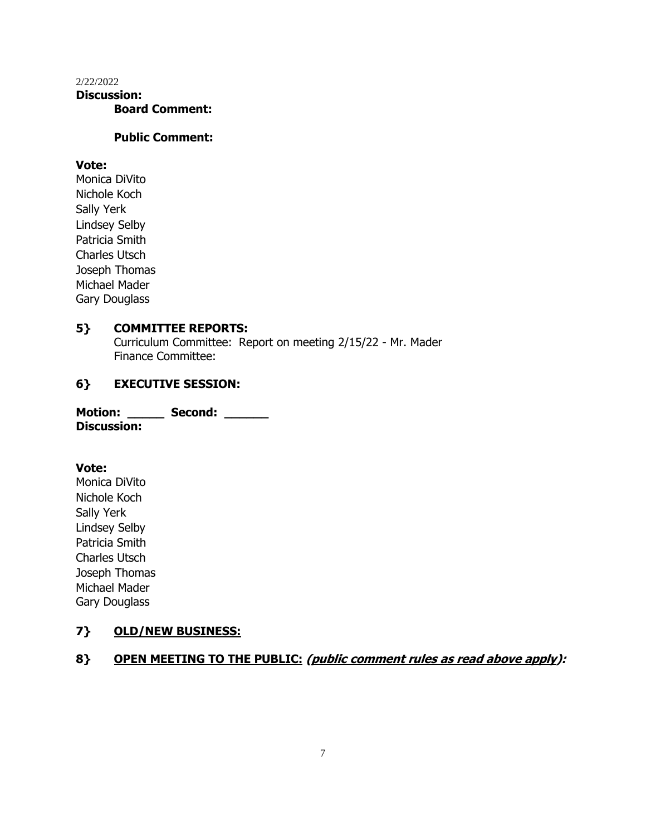### 2/22/2022 **Discussion: Board Comment:**

### **Public Comment:**

### **Vote:**

Monica DiVito Nichole Koch Sally Yerk Lindsey Selby Patricia Smith Charles Utsch Joseph Thomas Michael Mader Gary Douglass

## **5} COMMITTEE REPORTS:**

Curriculum Committee:Report on meeting 2/15/22 - Mr. Mader Finance Committee:

# **6} EXECUTIVE SESSION:**

| <b>Motion:</b>     | Second: |  |
|--------------------|---------|--|
| <b>Discussion:</b> |         |  |

#### **Vote:**

Monica DiVito Nichole Koch Sally Yerk Lindsey Selby Patricia Smith Charles Utsch Joseph Thomas Michael Mader Gary Douglass

## **7} OLD/NEW BUSINESS:**

# **8} OPEN MEETING TO THE PUBLIC: (public comment rules as read above apply):**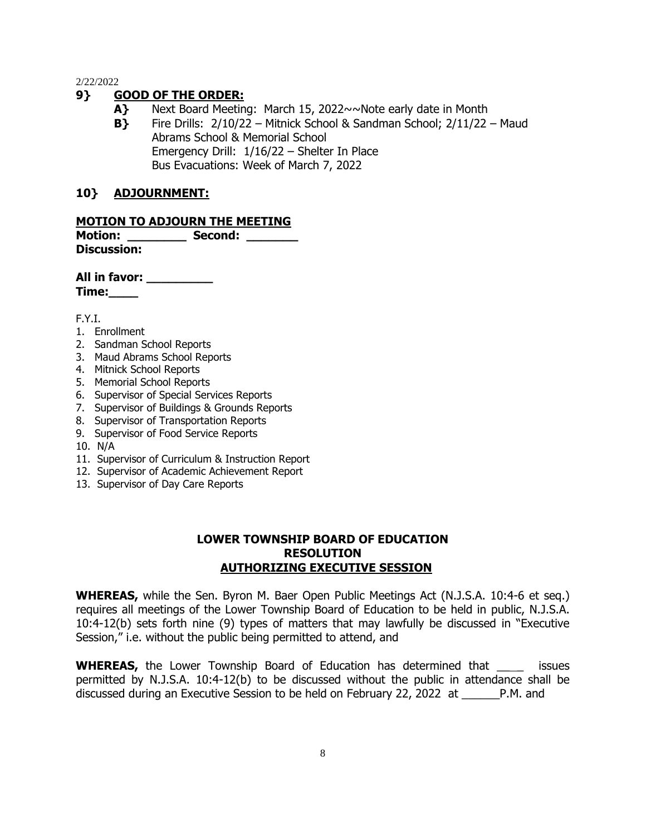## **9} GOOD OF THE ORDER:**

- **A}** Next Board Meeting:March 15, 2022~~Note early date in Month
- **B}** Fire Drills: 2/10/22 Mitnick School & Sandman School; 2/11/22 Maud Abrams School & Memorial School Emergency Drill: 1/16/22 – Shelter In Place Bus Evacuations: Week of March 7, 2022

### **10} ADJOURNMENT:**

### **MOTION TO ADJOURN THE MEETING**

**Motion: Second:**  $\blacksquare$ **Discussion:**

**All in favor: \_\_\_\_\_\_\_\_\_ Time:\_\_\_\_**

F.Y.I.

- 1. Enrollment
- 2. Sandman School Reports
- 3. Maud Abrams School Reports
- 4. Mitnick School Reports
- 5. Memorial School Reports
- 6. Supervisor of Special Services Reports
- 7. Supervisor of Buildings & Grounds Reports
- 8. Supervisor of Transportation Reports
- 9. Supervisor of Food Service Reports
- 10. N/A
- 11. Supervisor of Curriculum & Instruction Report
- 12. Supervisor of Academic Achievement Report
- 13. Supervisor of Day Care Reports

### **LOWER TOWNSHIP BOARD OF EDUCATION RESOLUTION AUTHORIZING EXECUTIVE SESSION**

**WHEREAS,** while the Sen. Byron M. Baer Open Public Meetings Act (N.J.S.A. 10:4-6 et seq.) requires all meetings of the Lower Township Board of Education to be held in public, N.J.S.A. 10:4-12(b) sets forth nine (9) types of matters that may lawfully be discussed in "Executive Session," i.e. without the public being permitted to attend, and

**WHEREAS,** the Lower Township Board of Education has determined that \_\_\_\_ issues permitted by N.J.S.A. 10:4-12(b) to be discussed without the public in attendance shall be discussed during an Executive Session to be held on February 22, 2022 at \_\_\_\_\_\_P.M. and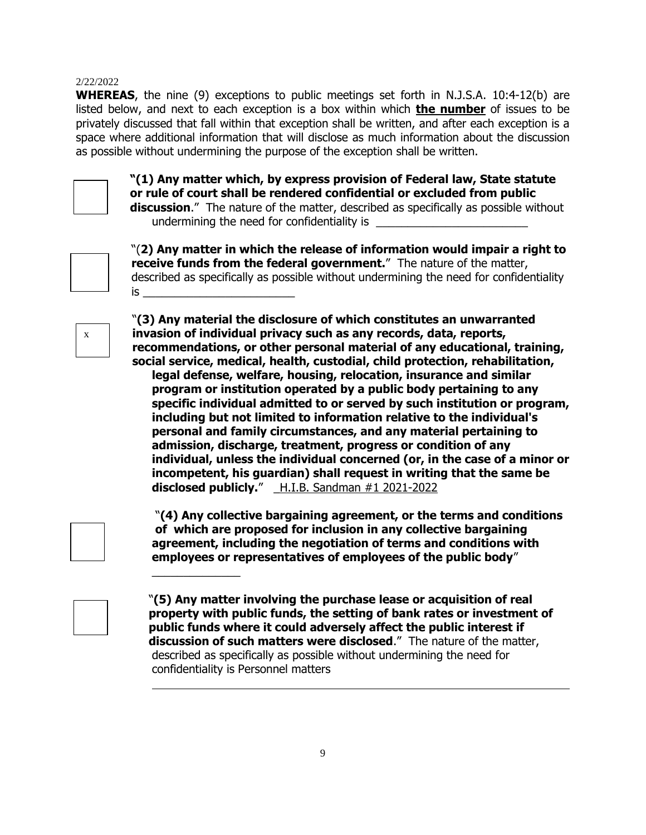**WHEREAS**, the nine (9) exceptions to public meetings set forth in N.J.S.A. 10:4-12(b) are listed below, and next to each exception is a box within which **the number** of issues to be privately discussed that fall within that exception shall be written, and after each exception is a space where additional information that will disclose as much information about the discussion as possible without undermining the purpose of the exception shall be written.



**"(1) Any matter which, by express provision of Federal law, State statute or rule of court shall be rendered confidential or excluded from public discussion**." The nature of the matter, described as specifically as possible without undermining the need for confidentiality is



"(**2) Any matter in which the release of information would impair a right to receive funds from the federal government.**" The nature of the matter, described as specifically as possible without undermining the need for confidentiality  $is \quad$ 



"**(3) Any material the disclosure of which constitutes an unwarranted invasion of individual privacy such as any records, data, reports, recommendations, or other personal material of any educational, training, social service, medical, health, custodial, child protection, rehabilitation, legal defense, welfare, housing, relocation, insurance and similar program or institution operated by a public body pertaining to any specific individual admitted to or served by such institution or program, including but not limited to information relative to the individual's personal and family circumstances, and any material pertaining to admission, discharge, treatment, progress or condition of any individual, unless the individual concerned (or, in the case of a minor or incompetent, his guardian) shall request in writing that the same be disclosed publicly.**" \_H.I.B. Sandman #1 2021-2022

 "**(4) Any collective bargaining agreement, or the terms and conditions of which are proposed for inclusion in any collective bargaining agreement, including the negotiation of terms and conditions with employees or representatives of employees of the public body**"

 "**(5) Any matter involving the purchase lease or acquisition of real property with public funds, the setting of bank rates or investment of public funds where it could adversely affect the public interest if discussion of such matters were disclosed**." The nature of the matter, described as specifically as possible without undermining the need for confidentiality is Personnel matters



 $\mathcal{L}=\mathcal{L}^{\mathcal{L}}$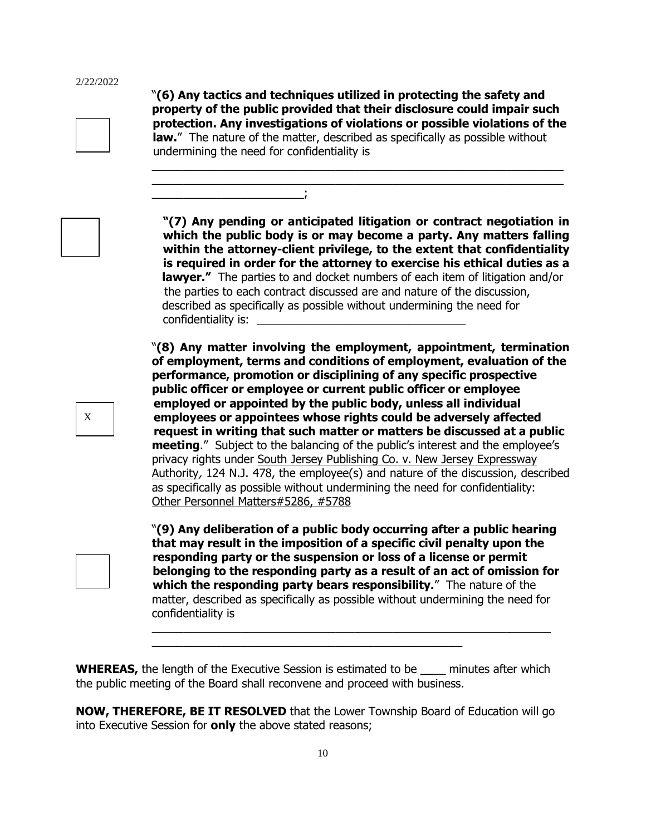"**(6) Any tactics and techniques utilized in protecting the safety and property of the public provided that their disclosure could impair such protection. Any investigations of violations or possible violations of the law.**" The nature of the matter, described as specifically as possible without undermining the need for confidentiality is  $\_$  , and the set of the set of the set of the set of the set of the set of the set of the set of the set of the set of the set of the set of the set of the set of the set of the set of the set of the set of the set of th

 $\_$  , and the set of the set of the set of the set of the set of the set of the set of the set of the set of the set of the set of the set of the set of the set of the set of the set of the set of the set of the set of th

\_\_\_\_\_\_\_\_\_\_\_\_\_\_\_\_\_\_\_\_\_\_\_\_;

X

**"(7) Any pending or anticipated litigation or contract negotiation in which the public body is or may become a party. Any matters falling within the attorney-client privilege, to the extent that confidentiality is required in order for the attorney to exercise his ethical duties as a lawyer."** The parties to and docket numbers of each item of litigation and/or the parties to each contract discussed are and nature of the discussion, described as specifically as possible without undermining the need for confidentiality is:

"**(8) Any matter involving the employment, appointment, termination of employment, terms and conditions of employment, evaluation of the performance, promotion or disciplining of any specific prospective public officer or employee or current public officer or employee employed or appointed by the public body, unless all individual employees or appointees whose rights could be adversely affected request in writing that such matter or matters be discussed at a public meeting**." Subject to the balancing of the public's interest and the employee's privacy rights under South Jersey Publishing Co. v. New Jersey Expressway Authority, 124 N.J. 478, the employee(s) and nature of the discussion, described as specifically as possible without undermining the need for confidentiality: Other Personnel Matters#5286, #5788

"**(9) Any deliberation of a public body occurring after a public hearing that may result in the imposition of a specific civil penalty upon the responding party or the suspension or loss of a license or permit belonging to the responding party as a result of an act of omission for which the responding party bears responsibility.**" The nature of the matter, described as specifically as possible without undermining the need for confidentiality is

\_\_\_\_\_\_\_\_\_\_\_\_\_\_\_\_\_\_\_\_\_\_\_\_\_\_\_\_\_\_\_\_\_\_\_\_\_\_\_\_\_\_\_\_\_\_\_\_\_\_\_\_\_\_\_\_\_\_\_\_\_\_\_

**WHEREAS,** the length of the Executive Session is estimated to be \_\_\_\_ minutes after which the public meeting of the Board shall reconvene and proceed with business.

\_\_\_\_\_\_\_\_\_\_\_\_\_\_\_\_\_\_\_\_\_\_\_\_\_\_\_\_\_\_\_\_\_\_\_\_\_\_\_\_\_\_\_\_\_\_\_\_\_

**NOW, THEREFORE, BE IT RESOLVED** that the Lower Township Board of Education will go into Executive Session for **only** the above stated reasons;